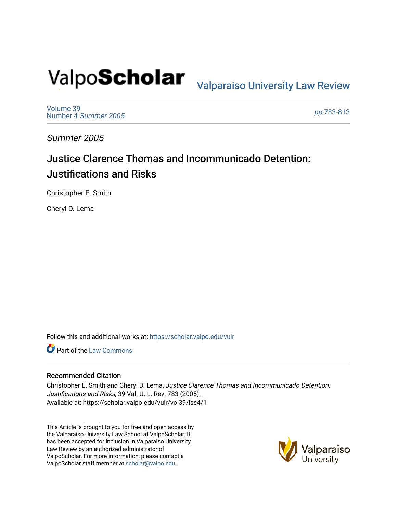# Valpo**Scholar** <sub>Valparaiso University Law Review</sub>

[Volume 39](https://scholar.valpo.edu/vulr/vol39) [Number 4](https://scholar.valpo.edu/vulr/vol39/iss4) Summer 2005

pp.[783-813](https://scholar.valpo.edu/vulr/vol39/iss4/1) 

Summer 2005

## Justice Clarence Thomas and Incommunicado Detention: Justifications and Risks

Christopher E. Smith

Cheryl D. Lema

Follow this and additional works at: [https://scholar.valpo.edu/vulr](https://scholar.valpo.edu/vulr?utm_source=scholar.valpo.edu%2Fvulr%2Fvol39%2Fiss4%2F1&utm_medium=PDF&utm_campaign=PDFCoverPages)

**C** Part of the [Law Commons](http://network.bepress.com/hgg/discipline/578?utm_source=scholar.valpo.edu%2Fvulr%2Fvol39%2Fiss4%2F1&utm_medium=PDF&utm_campaign=PDFCoverPages)

#### Recommended Citation

Christopher E. Smith and Cheryl D. Lema, Justice Clarence Thomas and Incommunicado Detention: Justifications and Risks, 39 Val. U. L. Rev. 783 (2005). Available at: https://scholar.valpo.edu/vulr/vol39/iss4/1

This Article is brought to you for free and open access by the Valparaiso University Law School at ValpoScholar. It has been accepted for inclusion in Valparaiso University Law Review by an authorized administrator of ValpoScholar. For more information, please contact a ValpoScholar staff member at [scholar@valpo.edu](mailto:scholar@valpo.edu).

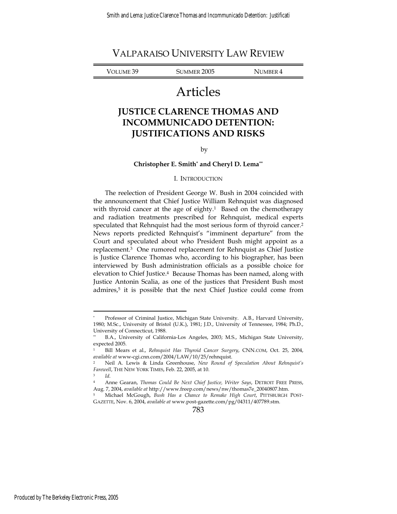VOLUME 39 SUMMER 2005 NUMBER 4

## Articles

### **JUSTICE CLARENCE THOMAS AND INCOMMUNICADO DETENTION: JUSTIFICATIONS AND RISKS**

#### by

#### **Christopher E. Smith\* and Cheryl D. Lema\*\***

#### I. INTRODUCTION

The reelection of President George W. Bush in 2004 coincided with the announcement that Chief Justice William Rehnquist was diagnosed with thyroid cancer at the age of eighty.<sup>1</sup> Based on the chemotherapy and radiation treatments prescribed for Rehnquist, medical experts speculated that Rehnquist had the most serious form of thyroid cancer.2 News reports predicted Rehnquist's "imminent departure" from the Court and speculated about who President Bush might appoint as a replacement.3 One rumored replacement for Rehnquist as Chief Justice is Justice Clarence Thomas who, according to his biographer, has been interviewed by Bush administration officials as a possible choice for elevation to Chief Justice.4 Because Thomas has been named, along with Justice Antonin Scalia, as one of the justices that President Bush most admires,<sup>5</sup> it is possible that the next Chief Justice could come from

783

<sup>\*</sup> Professor of Criminal Justice, Michigan State University. A.B., Harvard University, 1980; M.Sc., University of Bristol (U.K.), 1981; J.D., University of Tennessee, 1984; Ph.D., University of Connecticut, 1988.

<sup>\*\*</sup> B.A., University of California-Los Angeles, 2003; M.S., Michigan State University, expected 2005.

<sup>1</sup> Bill Mears et al., *Rehnquist Has Thyroid Cancer Surgery*, CNN.COM, Oct. 25, 2004, *available at* www-cgi.cnn.com/2004/LAW/10/25/rehnquist.

<sup>2</sup> Neil A. Lewis & Linda Greenhouse, *New Round of Speculation About Rehnquist's Farewell*, THE NEW YORK TIMES, Feb. 22, 2005, at 10. <sup>3</sup> *Id*.

<sup>4</sup> Anne Gearan, *Thomas Could Be Next Chief Justice, Writer Says*, DETROIT FREE PRESS, Aug. 7, 2004, *available at* http://www.freep.com/news/nw/thomas7e\_20040807.htm.

<sup>5</sup> Michael McGough, *Bush Has a Chance to Remake High Court*, PITTSBURGH POST-GAZETTE, Nov. 6, 2004, *available at* www.post-gazette.com/pg/04311/407789.stm.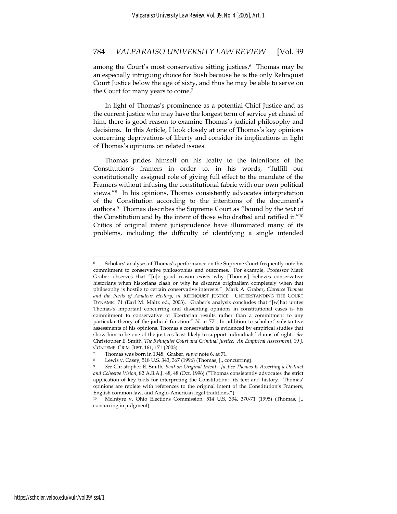among the Court's most conservative sitting justices.<sup>6</sup> Thomas may be an especially intriguing choice for Bush because he is the only Rehnquist Court Justice below the age of sixty, and thus he may be able to serve on the Court for many years to come.7

In light of Thomas's prominence as a potential Chief Justice and as the current justice who may have the longest term of service yet ahead of him, there is good reason to examine Thomas's judicial philosophy and decisions. In this Article, I look closely at one of Thomas's key opinions concerning deprivations of liberty and consider its implications in light of Thomas's opinions on related issues.

Thomas prides himself on his fealty to the intentions of the Constitution's framers in order to, in his words, "fulfill our constitutionally assigned role of giving full effect to the mandate of the Framers without infusing the constitutional fabric with our own political views."8 In his opinions, Thomas consistently advocates interpretation of the Constitution according to the intentions of the document's authors.9 Thomas describes the Supreme Court as "bound by the text of the Constitution and by the intent of those who drafted and ratified it."10 Critics of original intent jurisprudence have illuminated many of its problems, including the difficulty of identifying a single intended

Scholars' analyses of Thomas's performance on the Supreme Court frequently note his commitment to conservative philosophies and outcomes. For example, Professor Mark Graber observes that "[n]o good reason exists why [Thomas] believes conservative historians when historians clash or why he discards originalism completely when that philosophy is hostile to certain conservative interests." Mark A. Graber, *Clarence Thomas and the Perils of Amateur History*, *in* REHNQUIST JUSTICE: UNDERSTANDING THE COURT DYNAMIC 71 (Earl M. Maltz ed., 2003). Graber's analysis concludes that "[w]hat unites Thomas's important concurring and dissenting opinions in constitutional cases is his commitment to conservative or libertarian results rather than a commitment to any particular theory of the judicial function." *Id.* at 77. In addition to scholars' substantive assessments of his opinions, Thomas's conservatism is evidenced by empirical studies that show him to be one of the justices least likely to support individuals' claims of right. *See* Christopher E. Smith, *The Rehnquist Court and Criminal Justice: An Empirical Assessment*, 19 J. CONTEMP. CRIM. JUST. 161, 171 (2003).<br>
<sup>7</sup> Thomas was born in 1948. Graber, *supra* note 6, at 71.<br>
<sup>8</sup> Lewis v. Casey, 518 U.S. 343, 367 (1996) (Thomas, J., concurring).

<sup>9</sup> *See* Christopher E. Smith, *Bent on Original Intent: Justice Thomas Is Asserting a Distinct and Cohesive Vision*, 82 A.B.A.J. 48, 48 (Oct. 1996) ("Thomas consistently advocates the strict application of key tools for interpreting the Constitution: its text and history. Thomas' opinions are replete with references to the original intent of the Constitution's Framers, English common law, and Anglo-American legal traditions.").

<sup>10</sup> McIntyre v. Ohio Elections Commission, 514 U.S. 334, 370-71 (1995) (Thomas, J., concurring in judgment).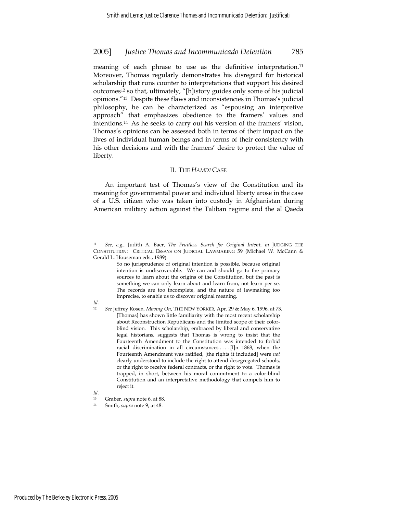meaning of each phrase to use as the definitive interpretation.<sup>11</sup> Moreover, Thomas regularly demonstrates his disregard for historical scholarship that runs counter to interpretations that support his desired outcomes12 so that, ultimately, "[h]istory guides only some of his judicial opinions."13 Despite these flaws and inconsistencies in Thomas's judicial philosophy, he can be characterized as "espousing an interpretive approach" that emphasizes obedience to the framers' values and intentions.14 As he seeks to carry out his version of the framers' vision, Thomas's opinions can be assessed both in terms of their impact on the lives of individual human beings and in terms of their consistency with his other decisions and with the framers' desire to protect the value of liberty.

#### II. THE *HAMDI* CASE

An important test of Thomas's view of the Constitution and its meaning for governmental power and individual liberty arose in the case of a U.S. citizen who was taken into custody in Afghanistan during American military action against the Taliban regime and the al Qaeda

 $\overline{a}$ 

*Id.* 

<sup>11</sup> *See, e.g.*, Judith A. Baer, *The Fruitless Search for Original Intent*, *in* JUDGING THE CONSTITUTION: CRITICAL ESSAYS ON JUDICIAL LAWMAKING 59 (Michael W. McCann & Gerald L. Houseman eds., 1989).

So no jurisprudence of original intention is possible, because original intention is undiscoverable. We can and should go to the primary sources to learn about the origins of the Constitution, but the past is something we can only learn about and learn from, not learn per se. The records are too incomplete, and the nature of lawmaking too imprecise, to enable us to discover original meaning.

*Id.*

<sup>12</sup> *See* Jeffrey Rosen, *Moving On*, THE NEW YORKER, Apr. 29 & May 6, 1996, at 73. [Thomas] has shown little familiarity with the most recent scholarship about Reconstruction Republicans and the limited scope of their colorblind vision. This scholarship, embraced by liberal and conservative legal historians, suggests that Thomas is wrong to insist that the Fourteenth Amendment to the Constitution was intended to forbid racial discrimination in all circumstances . . . . [I]n 1868, when the Fourteenth Amendment was ratified, [the rights it included] were *not*  clearly understood to include the right to attend desegregated schools, or the right to receive federal contracts, or the right to vote. Thomas is trapped, in short, between his moral commitment to a color-blind Constitution and an interpretative methodology that compels him to reject it.

<sup>13</sup> Graber, *supra* note 6, at 88. 14 Smith, *supra* note 9, at 48.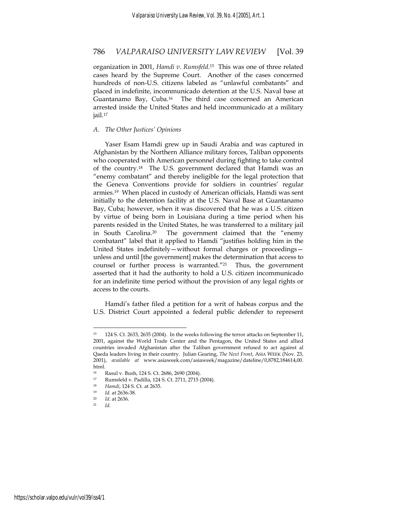organization in 2001, *Hamdi v. Rumsfeld*.15 This was one of three related cases heard by the Supreme Court. Another of the cases concerned hundreds of non-U.S. citizens labeled as "unlawful combatants" and placed in indefinite, incommunicado detention at the U.S. Naval base at Guantanamo Bay, Cuba.16 The third case concerned an American arrested inside the United States and held incommunicado at a military jail.17

#### *A. The Other Justices' Opinions*

Yaser Esam Hamdi grew up in Saudi Arabia and was captured in Afghanistan by the Northern Alliance military forces, Taliban opponents who cooperated with American personnel during fighting to take control of the country.18 The U.S. government declared that Hamdi was an "enemy combatant" and thereby ineligible for the legal protection that the Geneva Conventions provide for soldiers in countries' regular armies.19 When placed in custody of American officials, Hamdi was sent initially to the detention facility at the U.S. Naval Base at Guantanamo Bay, Cuba; however, when it was discovered that he was a U.S. citizen by virtue of being born in Louisiana during a time period when his parents resided in the United States, he was transferred to a military jail in South Carolina.20 The government claimed that the "enemy combatant" label that it applied to Hamdi "justifies holding him in the United States indefinitely—without formal charges or proceedings unless and until [the government] makes the determination that access to counsel or further process is warranted."21 Thus, the government asserted that it had the authority to hold a U.S. citizen incommunicado for an indefinite time period without the provision of any legal rights or access to the courts.

Hamdi's father filed a petition for a writ of habeas corpus and the U.S. District Court appointed a federal public defender to represent

<sup>15 124</sup> S. Ct. 2633, 2635 (2004). In the weeks following the terror attacks on September 11, 2001, against the World Trade Center and the Pentagon, the United States and allied countries invaded Afghanistan after the Taliban government refused to act against al Qaeda leaders living in their country. Julian Gearing, *The Next Front*, ASIA WEEK (Nov. 23, 2001), *available at* www.asiaweek.com/asiaweek/magazine/dateline/0,8782,184614,00. html.

<sup>16</sup> Rasul v. Bush, 124 S. Ct. 2686, 2690 (2004).<br>17 Rungfold v. Padilla 124 S. Ct. 2711, 2715.

<sup>17</sup> Rumsfeld v. Padilla, 124 S. Ct. 2711, 2715 (2004).<br>18 Handi 124 S. Ct. at 2635

<sup>18</sup> *Hamdi*, 124 S. Ct. at 2635. 19 *Id.* at 2636-38.

<sup>20</sup> *Id*. at 2636. 21 *Id*.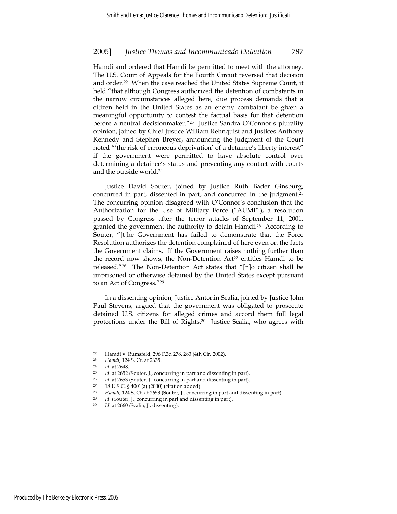Hamdi and ordered that Hamdi be permitted to meet with the attorney. The U.S. Court of Appeals for the Fourth Circuit reversed that decision and order.22 When the case reached the United States Supreme Court, it held "that although Congress authorized the detention of combatants in the narrow circumstances alleged here, due process demands that a citizen held in the United States as an enemy combatant be given a meaningful opportunity to contest the factual basis for that detention before a neutral decisionmaker.<sup>"23</sup> Justice Sandra O'Connor's plurality opinion, joined by Chief Justice William Rehnquist and Justices Anthony Kennedy and Stephen Breyer, announcing the judgment of the Court noted "'the risk of erroneous deprivation' of a detainee's liberty interest" if the government were permitted to have absolute control over determining a detainee's status and preventing any contact with courts and the outside world.24

Justice David Souter, joined by Justice Ruth Bader Ginsburg, concurred in part, dissented in part, and concurred in the judgment.25 The concurring opinion disagreed with O'Connor's conclusion that the Authorization for the Use of Military Force ("AUMF"), a resolution passed by Congress after the terror attacks of September 11, 2001, granted the government the authority to detain Hamdi.26 According to Souter, "[t]he Government has failed to demonstrate that the Force Resolution authorizes the detention complained of here even on the facts the Government claims. If the Government raises nothing further than the record now shows, the Non-Detention Act<sup>27</sup> entitles Hamdi to be released."28 The Non-Detention Act states that "[n]o citizen shall be imprisoned or otherwise detained by the United States except pursuant to an Act of Congress."29

In a dissenting opinion, Justice Antonin Scalia, joined by Justice John Paul Stevens, argued that the government was obligated to prosecute detained U.S. citizens for alleged crimes and accord them full legal protections under the Bill of Rights.<sup>30</sup> Justice Scalia, who agrees with

<sup>&</sup>lt;sup>22</sup> Hamdi v. Rumsfeld, 296 F.3d 278, 283 (4th Cir. 2002).<br>
<sup>23</sup> Hamdi 124 S. Ct. at 2635

<sup>23</sup> *Hamdi*, 124 S. Ct. at 2635. 24 *Id.* at 2648.

<sup>25</sup> *Id*. at 2652 (Souter, J., concurring in part and dissenting in part).

<sup>&</sup>lt;sup>26</sup> *Id.* at 2653 (Souter, J., concurring in part and dissenting in part).<br><sup>27</sup> 18 U.S.C. § 4001(a) (2000) (citation added).

<sup>28</sup> *Hamdi*, 124 S. Ct. at 2653 (Souter, J., concurring in part and dissenting in part).

<sup>29</sup> *Id.* (Souter, J., concurring in part and dissenting in part). 30 *Id*. at 2660 (Scalia, J., dissenting).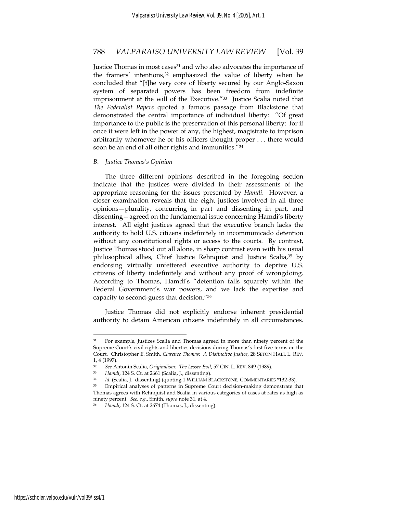Justice Thomas in most cases<sup>31</sup> and who also advocates the importance of the framers' intentions,<sup>32</sup> emphasized the value of liberty when he concluded that "[t]he very core of liberty secured by our Anglo-Saxon system of separated powers has been freedom from indefinite imprisonment at the will of the Executive."33 Justice Scalia noted that *The Federalist Papers* quoted a famous passage from Blackstone that demonstrated the central importance of individual liberty: "Of great importance to the public is the preservation of this personal liberty: for if once it were left in the power of any, the highest, magistrate to imprison arbitrarily whomever he or his officers thought proper . . . there would soon be an end of all other rights and immunities."<sup>34</sup>

#### *B. Justice Thomas's Opinion*

The three different opinions described in the foregoing section indicate that the justices were divided in their assessments of the appropriate reasoning for the issues presented by *Hamdi*. However, a closer examination reveals that the eight justices involved in all three opinions—plurality, concurring in part and dissenting in part, and dissenting—agreed on the fundamental issue concerning Hamdi's liberty interest. All eight justices agreed that the executive branch lacks the authority to hold U.S. citizens indefinitely in incommunicado detention without any constitutional rights or access to the courts. By contrast, Justice Thomas stood out all alone, in sharp contrast even with his usual philosophical allies, Chief Justice Rehnquist and Justice Scalia,35 by endorsing virtually unfettered executive authority to deprive U.S. citizens of liberty indefinitely and without any proof of wrongdoing. According to Thomas, Hamdi's "detention falls squarely within the Federal Government's war powers, and we lack the expertise and capacity to second-guess that decision."36

Justice Thomas did not explicitly endorse inherent presidential authority to detain American citizens indefinitely in all circumstances.

<sup>31</sup> For example, Justices Scalia and Thomas agreed in more than ninety percent of the Supreme Court's civil rights and liberties decisions during Thomas's first five terms on the Court. Christopher E. Smith, *Clarence Thomas: A Distinctive Justice*, 28 SETON HALL L. REV. 1, 4 (1997).

<sup>32</sup> *See* Antonin Scalia, *Originalism: The Lesser Evil*, 57 CIN. L. REV. 849 (1989).

<sup>33</sup> *Hamdi*, 124 S. Ct. at 2661 (Scalia, J., dissenting).

<sup>&</sup>lt;sup>34</sup> *Id*. (Scalia, J., dissenting) (quoting 1 WILLIAM BLACKSTONE, COMMENTARIES \*132-33).<br><sup>35</sup> Empirical analyses of patterns in Supreme Court decision-making demonstrate that Thomas agrees with Rehnquist and Scalia in various categories of cases at rates as high as ninety percent. *See, e.g.*, Smith, *supra* note 31, at 4. 36 *Hamdi*, 124 S. Ct. at 2674 (Thomas, J., dissenting).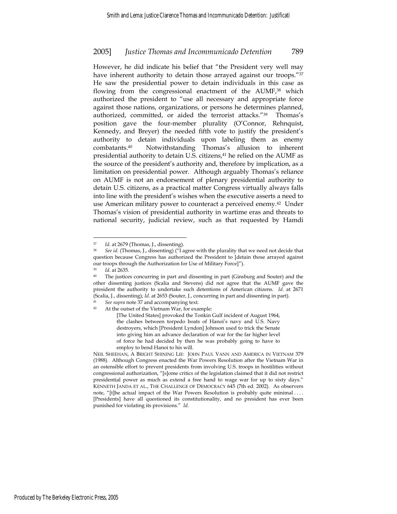However, he did indicate his belief that "the President very well may have inherent authority to detain those arrayed against our troops."37 He saw the presidential power to detain individuals in this case as flowing from the congressional enactment of the AUMF,<sup>38</sup> which authorized the president to "use all necessary and appropriate force against those nations, organizations, or persons he determines planned, authorized, committed, or aided the terrorist attacks."39 Thomas's position gave the four-member plurality (O'Connor, Rehnquist, Kennedy, and Breyer) the needed fifth vote to justify the president's authority to detain individuals upon labeling them as enemy combatants.40 Notwithstanding Thomas's allusion to inherent presidential authority to detain U.S. citizens,41 he relied on the AUMF as the source of the president's authority and, therefore by implication, as a limitation on presidential power. Although arguably Thomas's reliance on AUMF is not an endorsement of plenary presidential authority to detain U.S. citizens, as a practical matter Congress virtually always falls into line with the president's wishes when the executive asserts a need to use American military power to counteract a perceived enemy.42 Under Thomas's vision of presidential authority in wartime eras and threats to national security, judicial review, such as that requested by Hamdi

<sup>37</sup> *Id*. at 2679 (Thomas, J., dissenting).

<sup>38</sup> *See id*. (Thomas, J., dissenting) ("I agree with the plurality that we need not decide that question because Congress has authorized the President to [detain those arrayed against our troops through the Authorization for Use of Military Force]").

Id. at 2635.<br>The justices concurring in part and dissenting in part (Ginsburg and Souter) and the other dissenting justices (Scalia and Stevens) did not agree that the AUMF gave the president the authority to undertake such detentions of American citizens. *Id*. at 2671 (Scalia, J., dissenting); *Id*. at 2653 (Souter, J., concurring in part and dissenting in part). 41 *See supra* note 37 and accompanying text.

<sup>42</sup> At the outset of the Vietnam War, for example:

<sup>[</sup>The United States] provoked the Tonkin Gulf incident of August 1964, the clashes between torpedo boats of Hanoi's navy and U.S. Navy destroyers, which [President Lyndon] Johnson used to trick the Senate into giving him an advance declaration of war for the far higher level of force he had decided by then he was probably going to have to employ to bend Hanoi to his will.

NEIL SHEEHAN, A BRIGHT SHINING LIE: JOHN PAUL VANN AND AMERICA IN VIETNAM 379 (1988). Although Congress enacted the War Powers Resolution after the Vietnam War in an ostensible effort to prevent presidents from involving U.S. troops in hostilities without congressional authorization, "[s]ome critics of the legislation claimed that it did not restrict presidential power as much as extend a free hand to wage war for up to sixty days." KENNETH JANDA ET AL., THE CHALLENGE OF DEMOCRACY 645 (7th ed. 2002). As observers note, "[t]he actual impact of the War Powers Resolution is probably quite minimal . . . . [Presidents] have all questioned its constitutionality, and no president has ever been punished for violating its provisions." *Id*.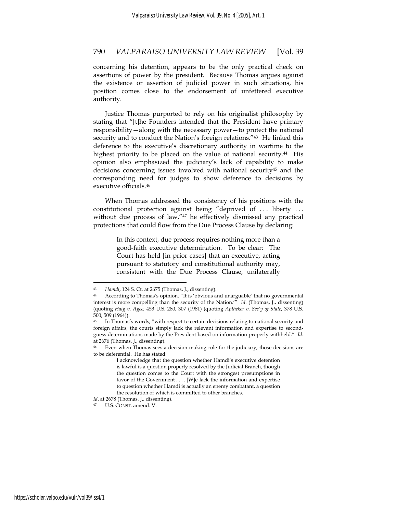concerning his detention, appears to be the only practical check on assertions of power by the president. Because Thomas argues against the existence or assertion of judicial power in such situations, his position comes close to the endorsement of unfettered executive authority.

Justice Thomas purported to rely on his originalist philosophy by stating that "[t]he Founders intended that the President have primary responsibility—along with the necessary power—to protect the national security and to conduct the Nation's foreign relations."<sup>43</sup> He linked this deference to the executive's discretionary authority in wartime to the highest priority to be placed on the value of national security.<sup>44</sup> His opinion also emphasized the judiciary's lack of capability to make decisions concerning issues involved with national security<sup>45</sup> and the corresponding need for judges to show deference to decisions by executive officials.46

When Thomas addressed the consistency of his positions with the constitutional protection against being "deprived of . . . liberty . . . without due process of law,"<sup>47</sup> he effectively dismissed any practical protections that could flow from the Due Process Clause by declaring:

> In this context, due process requires nothing more than a good-faith executive determination. To be clear: The Court has held [in prior cases] that an executive, acting pursuant to statutory and constitutional authority may, consistent with the Due Process Clause, unilaterally

<sup>43</sup> *Hamdi*, 124 S. Ct. at 2675 (Thomas, J., dissenting).

<sup>44</sup> According to Thomas's opinion, "It is 'obvious and unarguable' that no governmental interest is more compelling than the security of the Nation.'" *Id*. (Thomas, J., dissenting) (quoting *Haig v. Agee*, 453 U.S. 280, 307 (1981) (quoting *Aptheker v. Sec'y of State*, 378 U.S. 500, 509 (1964)).

<sup>45</sup> In Thomas's words, "with respect to certain decisions relating to national security and foreign affairs, the courts simply lack the relevant information and expertise to secondguess determinations made by the President based on information properly withheld." *Id*. at 2676 (Thomas, J., dissenting).

Even when Thomas sees a decision-making role for the judiciary, those decisions are to be deferential. He has stated:

I acknowledge that the question whether Hamdi's executive detention is lawful is a question properly resolved by the Judicial Branch, though the question comes to the Court with the strongest presumptions in favor of the Government . . . . [W]e lack the information and expertise to question whether Hamdi is actually an enemy combatant, a question the resolution of which is committed to other branches.

Id. at 2678 (Thomas, J., dissenting).

U.S. CONST. amend. V.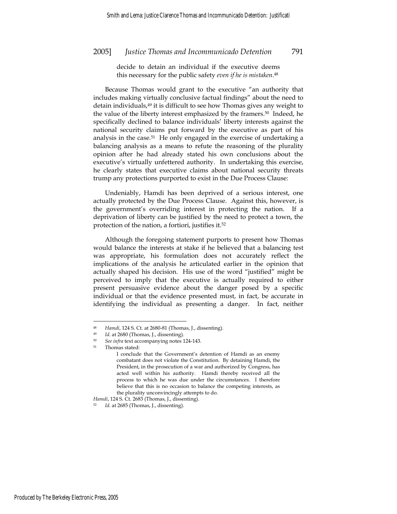decide to detain an individual if the executive deems this necessary for the public safety *even if he is mistaken*.48

Because Thomas would grant to the executive "an authority that includes making virtually conclusive factual findings" about the need to detain individuals,<sup>49</sup> it is difficult to see how Thomas gives any weight to the value of the liberty interest emphasized by the framers.50 Indeed, he specifically declined to balance individuals' liberty interests against the national security claims put forward by the executive as part of his analysis in the case.51 He only engaged in the exercise of undertaking a balancing analysis as a means to refute the reasoning of the plurality opinion after he had already stated his own conclusions about the executive's virtually unfettered authority. In undertaking this exercise, he clearly states that executive claims about national security threats trump any protections purported to exist in the Due Process Clause:

Undeniably, Hamdi has been deprived of a serious interest, one actually protected by the Due Process Clause. Against this, however, is the government's overriding interest in protecting the nation. If a deprivation of liberty can be justified by the need to protect a town, the protection of the nation, a fortiori, justifies it.52

Although the foregoing statement purports to present how Thomas would balance the interests at stake if he believed that a balancing test was appropriate, his formulation does not accurately reflect the implications of the analysis he articulated earlier in the opinion that actually shaped his decision. His use of the word "justified" might be perceived to imply that the executive is actually required to either present persuasive evidence about the danger posed by a specific individual or that the evidence presented must, in fact, be accurate in identifying the individual as presenting a danger. In fact, neither

<sup>48</sup> *Hamdi*, 124 S. Ct. at 2680-81 (Thomas, J., dissenting).

<sup>49</sup> *Id*. at 2680 (Thomas, J., dissenting). 50 *See infra* text accompanying notes 124-143.

<sup>51</sup> Thomas stated:

I conclude that the Government's detention of Hamdi as an enemy combatant does not violate the Constitution. By detaining Hamdi, the President, in the prosecution of a war and authorized by Congress, has acted well within his authority. Hamdi thereby received all the process to which he was due under the circumstances. I therefore believe that this is no occasion to balance the competing interests, as the plurality unconvincingly attempts to do.

*Hamdi*, 124 S. Ct. 2683 (Thomas, J., dissenting).<br><sup>52</sup> *Id.* at 2685 (Thomas, J., dissenting).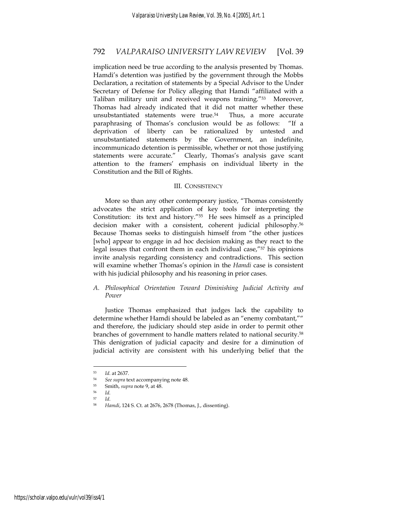implication need be true according to the analysis presented by Thomas. Hamdi's detention was justified by the government through the Mobbs Declaration, a recitation of statements by a Special Advisor to the Under Secretary of Defense for Policy alleging that Hamdi "affiliated with a Taliban military unit and received weapons training."53 Moreover, Thomas had already indicated that it did not matter whether these unsubstantiated statements were true.54 Thus, a more accurate paraphrasing of Thomas's conclusion would be as follows: "If a deprivation of liberty can be rationalized by untested and unsubstantiated statements by the Government, an indefinite, incommunicado detention is permissible, whether or not those justifying statements were accurate." Clearly, Thomas's analysis gave scant attention to the framers' emphasis on individual liberty in the Constitution and the Bill of Rights.

#### III. CONSISTENCY

More so than any other contemporary justice, "Thomas consistently advocates the strict application of key tools for interpreting the Constitution: its text and history."55 He sees himself as a principled decision maker with a consistent, coherent judicial philosophy.56 Because Thomas seeks to distinguish himself from "the other justices [who] appear to engage in ad hoc decision making as they react to the legal issues that confront them in each individual case,"57 his opinions invite analysis regarding consistency and contradictions. This section will examine whether Thomas's opinion in the *Hamdi* case is consistent with his judicial philosophy and his reasoning in prior cases.

#### *A. Philosophical Orientation Toward Diminishing Judicial Activity and Power*

Justice Thomas emphasized that judges lack the capability to determine whether Hamdi should be labeled as an "enemy combatant,"" and therefore, the judiciary should step aside in order to permit other branches of government to handle matters related to national security.58 This denigration of judicial capacity and desire for a diminution of judicial activity are consistent with his underlying belief that the

<sup>53</sup> *Id*. at 2637.

<sup>54</sup> *See supra* text accompanying note 48. 55 Smith, *supra* note 9, at 48. 56 *Id.*

<sup>57</sup> *Id*. 58 *Hamdi*, 124 S. Ct. at 2676, 2678 (Thomas, J., dissenting).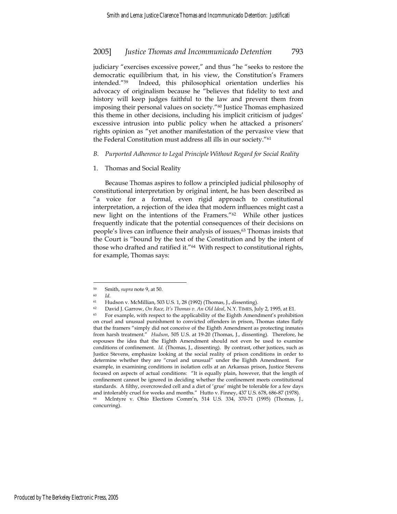judiciary "exercises excessive power," and thus "he "seeks to restore the democratic equilibrium that, in his view, the Constitution's Framers intended."59 Indeed, this philosophical orientation underlies his advocacy of originalism because he "believes that fidelity to text and history will keep judges faithful to the law and prevent them from imposing their personal values on society."60 Justice Thomas emphasized this theme in other decisions, including his implicit criticism of judges' excessive intrusion into public policy when he attacked a prisoners' rights opinion as "yet another manifestation of the pervasive view that the Federal Constitution must address all ills in our society."61

#### *B. Purported Adherence to Legal Principle Without Regard for Social Reality*

#### 1. Thomas and Social Reality

Because Thomas aspires to follow a principled judicial philosophy of constitutional interpretation by original intent, he has been described as "a voice for a formal, even rigid approach to constitutional interpretation, a rejection of the idea that modern influences might cast a new light on the intentions of the Framers."62 While other justices frequently indicate that the potential consequences of their decisions on people's lives can influence their analysis of issues,<sup>63</sup> Thomas insists that the Court is "bound by the text of the Constitution and by the intent of those who drafted and ratified it."64 With respect to constitutional rights, for example, Thomas says:

concurring).

<sup>59</sup> Smith, *supra* note 9, at 50.

<sup>60</sup> *Id*. 61 Hudson v. McMillian, 503 U.S. 1, 28 (1992) (Thomas, J., dissenting).

<sup>62</sup> David J. Garrow, *On Race, It's Thomas v. An Old Ideal*, N.Y. TIMES, July 2, 1995, at E1.

<sup>&</sup>lt;sup>63</sup> For example, with respect to the applicability of the Eighth Amendment's prohibition on cruel and unusual punishment to convicted offenders in prison, Thomas states flatly that the framers "simply did not conceive of the Eighth Amendment as protecting inmates from harsh treatment." *Hudson*, 505 U.S. at 19-20 (Thomas, J., dissenting). Therefore, he espouses the idea that the Eighth Amendment should not even be used to examine conditions of confinement. *Id.* (Thomas, J., dissenting). By contrast, other justices, such as Justice Stevens, emphasize looking at the social reality of prison conditions in order to determine whether they are "cruel and unusual" under the Eighth Amendment. For example, in examining conditions in isolation cells at an Arkansas prison, Justice Stevens focused on aspects of actual conditions: "It is equally plain, however, that the length of confinement cannot be ignored in deciding whether the confinement meets constitutional standards. A filthy, overcrowded cell and a diet of 'grue' might be tolerable for a few days and intolerably cruel for weeks and months." Hutto v. Finney, 437 U.S. 678, 686-87 (1978). 64 McIntyre v. Ohio Elections Comm'n, 514 U.S. 334, 370-71 (1995) (Thomas, J.,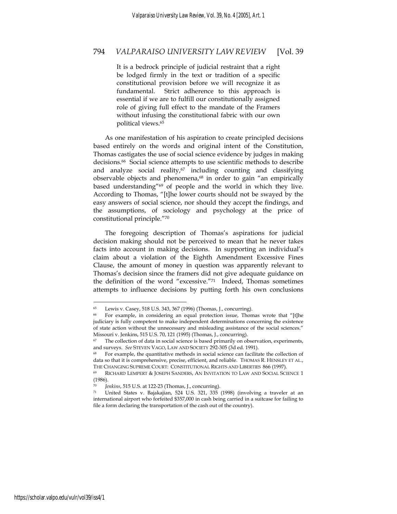It is a bedrock principle of judicial restraint that a right be lodged firmly in the text or tradition of a specific constitutional provision before we will recognize it as fundamental. Strict adherence to this approach is essential if we are to fulfill our constitutionally assigned role of giving full effect to the mandate of the Framers without infusing the constitutional fabric with our own political views.65

As one manifestation of his aspiration to create principled decisions based entirely on the words and original intent of the Constitution, Thomas castigates the use of social science evidence by judges in making decisions.66 Social science attempts to use scientific methods to describe and analyze social reality,<sup>67</sup> including counting and classifying observable objects and phenomena,<sup>68</sup> in order to gain "an empirically based understanding" $69$  of people and the world in which they live. According to Thomas, "[t]he lower courts should not be swayed by the easy answers of social science, nor should they accept the findings, and the assumptions, of sociology and psychology at the price of constitutional principle."70

The foregoing description of Thomas's aspirations for judicial decision making should not be perceived to mean that he never takes facts into account in making decisions. In supporting an individual's claim about a violation of the Eighth Amendment Excessive Fines Clause, the amount of money in question was apparently relevant to Thomas's decision since the framers did not give adequate guidance on the definition of the word "excessive."71 Indeed, Thomas sometimes attempts to influence decisions by putting forth his own conclusions

<sup>65</sup> Lewis v. Casey, 518 U.S. 343, 367 (1996) (Thomas, J., concurring).

For example, in considering an equal protection issue, Thomas wrote that "[t]he judiciary is fully competent to make independent determinations concerning the existence of state action without the unnecessary and misleading assistance of the social sciences." Missouri v. Jenkins, 515 U.S. 70, 121 (1995) (Thomas, J., concurring).

The collection of data in social science is based primarily on observation, experiments, and surveys. *See* STEVEN VAGO, LAW AND SOCIETY 292-305 (3d ed. 1991).<br><sup>68</sup> For example, the quantitative methods in social science can facilitate the collection of

data so that it is comprehensive, precise, efficient, and reliable. THOMAS R. HENSLEY ET AL., THE CHANGING SUPREME COURT: CONSTITUTIONAL RIGHTS AND LIBERTIES 866 (1997).

<sup>69</sup> RICHARD LEMPERT & JOSEPH SANDERS, AN INVITATION TO LAW AND SOCIAL SCIENCE 1 (1986).

<sup>70</sup> *Jenkins*, 515 U.S. at 122-23 (Thomas, J., concurring). 71 United States v. Bajakajian, 524 U.S. 321, 335 (1998) (involving a traveler at an international airport who forfeited \$357,000 in cash being carried in a suitcase for failing to file a form declaring the transportation of the cash out of the country).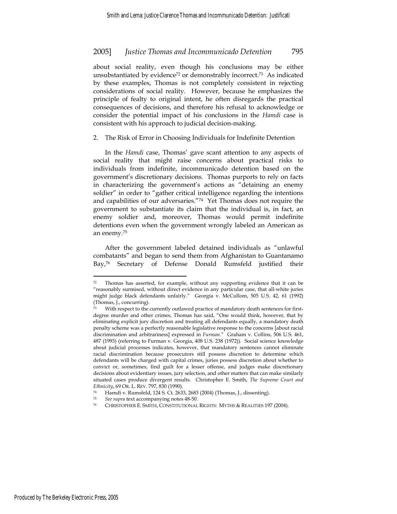about social reality, even though his conclusions may be either unsubstantiated by evidence<sup>72</sup> or demonstrably incorrect.<sup>73</sup> As indicated by these examples, Thomas is not completely consistent in rejecting considerations of social reality. However, because he emphasizes the principle of fealty to original intent, he often disregards the practical consequences of decisions, and therefore his refusal to acknowledge or consider the potential impact of his conclusions in the *Hamdi* case is consistent with his approach to judicial decision-making.

2. The Risk of Error in Choosing Individuals for Indefinite Detention

In the *Hamdi* case, Thomas' gave scant attention to any aspects of social reality that might raise concerns about practical risks to individuals from indefinite, incommunicado detention based on the government's discretionary decisions. Thomas purports to rely on facts in characterizing the government's actions as "detaining an enemy soldier" in order to "gather critical intelligence regarding the intentions and capabilities of our adversaries."74 Yet Thomas does not require the government to substantiate its claim that the individual is, in fact, an enemy soldier and, moreover, Thomas would permit indefinite detentions even when the government wrongly labeled an American as an enemy.75

After the government labeled detained individuals as "unlawful combatants" and began to send them from Afghanistan to Guantanamo Bay,<sup>76</sup> Secretary of Defense Donald Rumsfeld justified their

<sup>72</sup> Thomas has asserted, for example, without any supporting evidence that it can be "reasonably surmised, without direct evidence in any particular case, that all-white juries might judge black defendants unfairly." Georgia v. McCullom, 505 U.S. 42, 61 (1992) (Thomas, J., concurring).

With respect to the currently outlawed practice of mandatory death sentences for firstdegree murder and other crimes, Thomas has said, "One would think, however, that by eliminating explicit jury discretion and treating all defendants equally, a mandatory death penalty scheme was a perfectly reasonable legislative response to the concerns [about racial discrimination and arbitrariness] expressed in *Furman*." Graham v. Collins, 506 U.S. 461, 487 (1993) (referring to Furman v. Georgia, 408 U.S. 238 (1972)). Social science knowledge about judicial processes indicates, however, that mandatory sentences cannot eliminate racial discrimination because prosecutors still possess discretion to determine which defendants will be charged with capital crimes, juries possess discretion about whether to convict or, sometimes, find guilt for a lesser offense, and judges make discretionary decisions about evidentiary issues, jury selection, and other matters that can make similarly situated cases produce divergent results. Christopher E. Smith, *The Supreme Court and* 

*Ethnicity*, 69 OR. L. REV. 797, 830 (1990).<br><sup>74</sup> Hamdi v. Rumsfeld, 124 S. Ct. 2633, 2683 (2004) (Thomas, J., dissenting).

<sup>75</sup> *See supra* text accompanying notes 48-50. 76 CHRISTOPHER E. SMITH, CONSTITUTIONAL RIGHTS: MYTHS & REALITIES 197 (2004).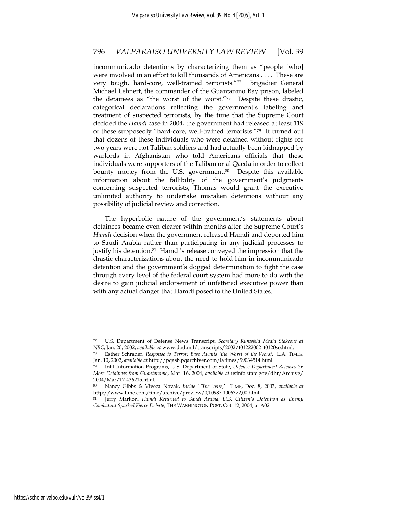incommunicado detentions by characterizing them as "people [who] were involved in an effort to kill thousands of Americans . . . . These are very tough, hard-core, well-trained terrorists."77 Brigadier General Michael Lehnert, the commander of the Guantanmo Bay prison, labeled the detainees as "the worst of the worst."78 Despite these drastic, categorical declarations reflecting the government's labeling and treatment of suspected terrorists, by the time that the Supreme Court decided the *Hamdi* case in 2004, the government had released at least 119 of these supposedly "hard-core, well-trained terrorists."79 It turned out that dozens of these individuals who were detained without rights for two years were not Taliban soldiers and had actually been kidnapped by warlords in Afghanistan who told Americans officials that these individuals were supporters of the Taliban or al Qaeda in order to collect bounty money from the U.S. government.<sup>80</sup> Despite this available information about the fallibility of the government's judgments concerning suspected terrorists, Thomas would grant the executive unlimited authority to undertake mistaken detentions without any possibility of judicial review and correction.

The hyperbolic nature of the government's statements about detainees became even clearer within months after the Supreme Court's *Hamdi* decision when the government released Hamdi and deported him to Saudi Arabia rather than participating in any judicial processes to justify his detention.<sup>81</sup> Hamdi's release conveyed the impression that the drastic characterizations about the need to hold him in incommunicado detention and the government's dogged determination to fight the case through every level of the federal court system had more to do with the desire to gain judicial endorsement of unfettered executive power than with any actual danger that Hamdi posed to the United States.

<sup>77</sup> U.S. Department of Defense News Transcript, *Secretary Rumsfeld Media Stakeout at NBC*, Jan. 20, 2002, *available at* www.dod.mil/transcripts/2002/t01222002\_t0120so.html.

<sup>78</sup> Esther Schrader, *Response to Terror; Base Awaits 'the Worst of the Worst*,*'* L.A. TIMES, Jan. 10, 2002, *available at* http://pqasb.pqarchiver.com/latimes/99034514.html.

<sup>79</sup> Int'l Information Programs, U.S. Department of State, *Defense Department Releases 26 More Detainees from Guantanamo*, Mar. 16, 2004, *available at* usinfo.state.gov/dhr/Archive/ 2004/Mar/17-436215.html.

<sup>80</sup> Nancy Gibbs & Viveca Novak, *Inside "'The Wire*,'" TIME, Dec. 8, 2003, *available at* http://www.time.com/time/archive/preview/0,10987,1006372,00.html.

<sup>81</sup> Jerry Markon, *Hamdi Returned to Saudi Arabia; U.S. Citizen's Detention as Enemy Combatant Sparked Fierce Debate*, THE WASHINGTON POST, Oct. 12, 2004, at A02.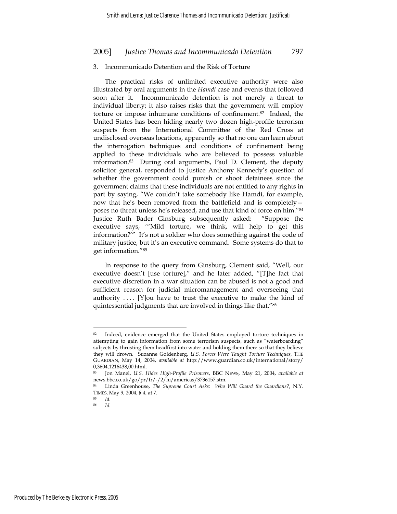#### 3. Incommunicado Detention and the Risk of Torture

The practical risks of unlimited executive authority were also illustrated by oral arguments in the *Hamdi* case and events that followed soon after it. Incommunicado detention is not merely a threat to individual liberty; it also raises risks that the government will employ torture or impose inhumane conditions of confinement.82 Indeed, the United States has been hiding nearly two dozen high-profile terrorism suspects from the International Committee of the Red Cross at undisclosed overseas locations, apparently so that no one can learn about the interrogation techniques and conditions of confinement being applied to these individuals who are believed to possess valuable information.83 During oral arguments, Paul D. Clement, the deputy solicitor general, responded to Justice Anthony Kennedy's question of whether the government could punish or shoot detainees since the government claims that these individuals are not entitled to any rights in part by saying, "We couldn't take somebody like Hamdi, for example, now that he's been removed from the battlefield and is completely poses no threat unless he's released, and use that kind of force on him."84 Justice Ruth Bader Ginsburg subsequently asked: "Suppose the executive says, '"Mild torture, we think, will help to get this information?'" It's not a soldier who does something against the code of military justice, but it's an executive command. Some systems do that to get information."85

In response to the query from Ginsburg, Clement said, "Well, our executive doesn't [use torture]," and he later added, "[T]he fact that executive discretion in a war situation can be abused is not a good and sufficient reason for judicial micromanagement and overseeing that authority  $\dots$  [Y] ou have to trust the executive to make the kind of quintessential judgments that are involved in things like that."86

<sup>82</sup> Indeed, evidence emerged that the United States employed torture techniques in attempting to gain information from some terrorism suspects, such as "waterboarding" subjects by thrusting them headfirst into water and holding them there so that they believe they will drown. Suzanne Goldenberg, *U.S. Forces Were Taught Torture Techniques*, THE GUARDIAN, May 14, 2004, *available at* http://www.guardian.co.uk/international/story/ 0,3604,1216438,00.html.

<sup>83</sup> Jon Manel, *U.S. Hides High-Profile Prisoners*, BBC NEWS, May 21, 2004, *available at* news.bbc.co.uk/go/pr/fr/-/2/hi/americas/3736157.stm.

<sup>84</sup> Linda Greenhouse, *The Supreme Court Asks: Who Will Guard the Guardians?*, N.Y. TIMES, May 9, 2004, § 4, at 7.

<sup>85</sup> *Id*. 86 *Id*.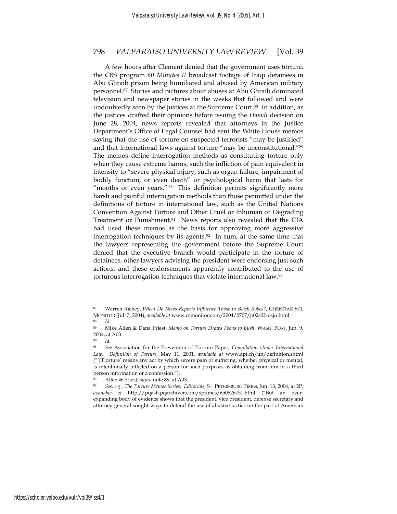A few hours after Clement denied that the government uses torture, the CBS program *60 Minutes II* broadcast footage of Iraqi detainees in Abu Ghraib prison being humiliated and abused by American military personnel.87 Stories and pictures about abuses at Abu Ghraib dominated television and newspaper stories in the weeks that followed and were undoubtedly seen by the justices at the Supreme Court.<sup>88</sup> In addition, as the justices drafted their opinions before issuing the *Hamdi* decision on June 28, 2004, news reports revealed that attorneys in the Justice Department's Office of Legal Counsel had sent the White House memos saying that the use of torture on suspected terrorists "may be justified" and that international laws against torture "may be unconstitutional."<sup>89</sup> The memos define interrogation methods as constituting torture only when they cause extreme harms, such the infliction of pain equivalent in intensity to "severe physical injury, such as organ failure, impairment of bodily function, or even death" or psychological harm that lasts for "months or even years."<sup>90</sup> This definition permits significantly more harsh and painful interrogation methods than those permitted under the definitions of torture in international law, such as the United Nations Convention Against Torture and Other Cruel or Inhuman or Degrading Treatment or Punishment.<sup>91</sup> News reports also revealed that the CIA had used these memos as the basis for approving more aggressive interrogation techniques by its agents.<sup>92</sup> In sum, at the same time that the lawyers representing the government before the Supreme Court denied that the executive branch would participate in the torture of detainees, other lawyers advising the president were endorsing just such actions, and these endorsements apparently contributed to the use of torturous interrogation techniques that violate international law.93

<sup>87</sup> Warren Richey, *When Do News Reports Influence Those in Black Robes?*, CHRISTIAN SCI. MONITOR (Jul. 7, 2004), *available at* www.csmonitor.com/2004/0707/p02s02-usju.html. 88 *Id*. 89 Mike Allen & Dana Priest, *Memo on Torture Draws Focus to Bush*, WASH. POST, Jun. 9,

<sup>2004,</sup> at A03.

<sup>90</sup> *Id*.

<sup>91</sup> *See* Association for the Prevention of Torture Paper, *Compilation Under International Law: Definition of Torture*, May 11, 2001, *available at* www.apt.ch/un/definition.shtml ("'[T]orture' means any act by which severe pain or suffering, whether physical or mental, is intentionally inflicted on a person for such purposes as obtaining from him or a third person information or a confession.").

<sup>92</sup> Allen & Priest, *supra* note 89, at A03. 93 *See, e.g., The Torture Memos Series: Editorials*, ST. PETERSBURG TIMES, Jun. 13, 2004, at 2P, *available at* http://pqasb.pqarchiver.com/sptimes/650526751.html ("But an everexpanding body of evidence shows that the president, vice president, defense secretary and attorney general sought ways to defend the use of abusive tactics on the part of American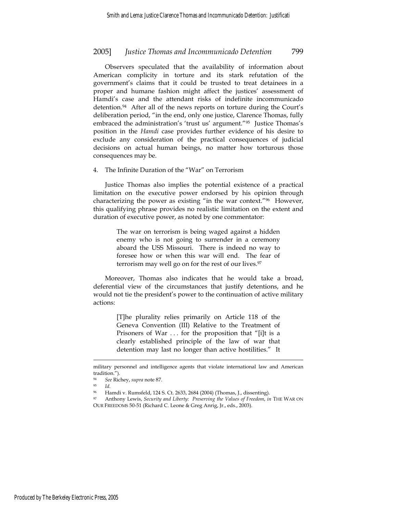Observers speculated that the availability of information about American complicity in torture and its stark refutation of the government's claims that it could be trusted to treat detainees in a proper and humane fashion might affect the justices' assessment of Hamdi's case and the attendant risks of indefinite incommunicado detention.94 After all of the news reports on torture during the Court's deliberation period, "in the end, only one justice, Clarence Thomas, fully embraced the administration's 'trust us' argument."95 Justice Thomas's position in the *Hamdi* case provides further evidence of his desire to exclude any consideration of the practical consequences of judicial decisions on actual human beings, no matter how torturous those consequences may be.

#### 4. The Infinite Duration of the "War" on Terrorism

Justice Thomas also implies the potential existence of a practical limitation on the executive power endorsed by his opinion through characterizing the power as existing "in the war context."96 However, this qualifying phrase provides no realistic limitation on the extent and duration of executive power, as noted by one commentator:

> The war on terrorism is being waged against a hidden enemy who is not going to surrender in a ceremony aboard the USS Missouri. There is indeed no way to foresee how or when this war will end. The fear of terrorism may well go on for the rest of our lives.<sup>97</sup>

Moreover, Thomas also indicates that he would take a broad, deferential view of the circumstances that justify detentions, and he would not tie the president's power to the continuation of active military actions:

> [T]he plurality relies primarily on Article 118 of the Geneva Convention (III) Relative to the Treatment of Prisoners of War ... for the proposition that "[i]t is a clearly established principle of the law of war that detention may last no longer than active hostilities." It

military personnel and intelligence agents that violate international law and American tradition.").

<sup>94</sup> *See* Richey, *supra* note 87. 95 *Id*. 96 Hamdi v. Rumsfeld, 124 S. Ct. 2633, 2684 (2004) (Thomas, J., dissenting).

<sup>97</sup> Anthony Lewis, *Security and Liberty: Preserving the Values of Freedom*, *in* THE WAR ON OUR FREEDOMS 50-51 (Richard C. Leone & Greg Anrig, Jr., eds., 2003).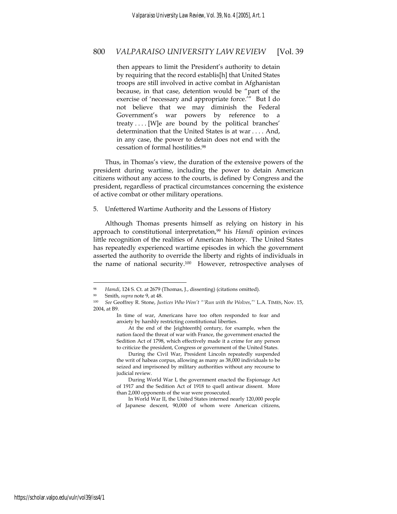then appears to limit the President's authority to detain by requiring that the record establis[h] that United States troops are still involved in active combat in Afghanistan because, in that case, detention would be "part of the exercise of 'necessary and appropriate force.'" But I do not believe that we may diminish the Federal Government's war powers by reference to a treaty . . . . [W]e are bound by the political branches' determination that the United States is at war . . . . And, in any case, the power to detain does not end with the cessation of formal hostilities.98

Thus, in Thomas's view, the duration of the extensive powers of the president during wartime, including the power to detain American citizens without any access to the courts, is defined by Congress and the president, regardless of practical circumstances concerning the existence of active combat or other military operations.

5. Unfettered Wartime Authority and the Lessons of History

Although Thomas presents himself as relying on history in his approach to constitutional interpretation,99 his *Hamdi* opinion evinces little recognition of the realities of American history. The United States has repeatedly experienced wartime episodes in which the government asserted the authority to override the liberty and rights of individuals in the name of national security.<sup>100</sup> However, retrospective analyses of

Hamdi, 124 S. Ct. at 2679 (Thomas, J., dissenting) (citations omitted).

<sup>99</sup> Smith, *supra* note 9, at 48. 100 *See* Geoffrey R. Stone, *Justices Who Won't "'Run with the Wolves*,*"'* L.A. TIMES, Nov. 15, 2004, at B9.

In time of war, Americans have too often responded to fear and anxiety by harshly restricting constitutional liberties.

At the end of the [eighteenth] century, for example, when the nation faced the threat of war with France, the government enacted the Sedition Act of 1798, which effectively made it a crime for any person to criticize the president, Congress or government of the United States.

During the Civil War, President Lincoln repeatedly suspended the writ of habeas corpus, allowing as many as 38,000 individuals to be seized and imprisoned by military authorities without any recourse to judicial review.

During World War I, the government enacted the Espionage Act of 1917 and the Sedition Act of 1918 to quell antiwar dissent. More than 2,000 opponents of the war were prosecuted.

In World War II, the United States interned nearly 120,000 people of Japanese descent, 90,000 of whom were American citizens,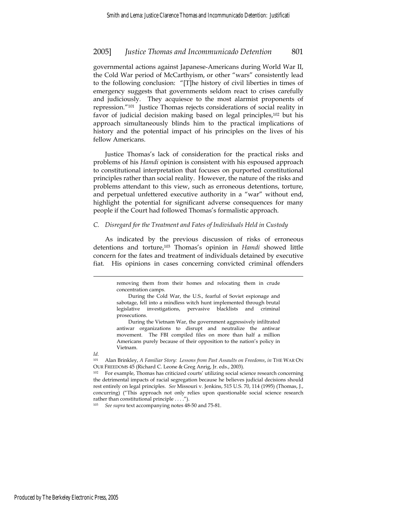governmental actions against Japanese-Americans during World War II, the Cold War period of McCarthyism, or other "wars" consistently lead to the following conclusion: "[T]he history of civil liberties in times of emergency suggests that governments seldom react to crises carefully and judiciously. They acquiesce to the most alarmist proponents of repression."101 Justice Thomas rejects considerations of social reality in favor of judicial decision making based on legal principles,102 but his approach simultaneously blinds him to the practical implications of history and the potential impact of his principles on the lives of his fellow Americans.

Justice Thomas's lack of consideration for the practical risks and problems of his *Hamdi* opinion is consistent with his espoused approach to constitutional interpretation that focuses on purported constitutional principles rather than social reality. However, the nature of the risks and problems attendant to this view, such as erroneous detentions, torture, and perpetual unfettered executive authority in a "war" without end, highlight the potential for significant adverse consequences for many people if the Court had followed Thomas's formalistic approach.

#### *C. Disregard for the Treatment and Fates of Individuals Held in Custody*

As indicated by the previous discussion of risks of erroneous detentions and torture,103 Thomas's opinion in *Hamdi* showed little concern for the fates and treatment of individuals detained by executive fiat. His opinions in cases concerning convicted criminal offenders

*Id.*

 $\overline{a}$ 

See supra text accompanying notes 48-50 and 75-81.

removing them from their homes and relocating them in crude concentration camps.

During the Cold War, the U.S., fearful of Soviet espionage and sabotage, fell into a mindless witch hunt implemented through brutal legislative investigations, pervasive blacklists and criminal prosecutions.

During the Vietnam War, the government aggressively infiltrated antiwar organizations to disrupt and neutralize the antiwar movement. The FBI compiled files on more than half a million Americans purely because of their opposition to the nation's policy in Vietnam.

<sup>101</sup> Alan Brinkley, *A Familiar Story: Lessons from Past Assaults on Freedoms*, *in* THE WAR ON OUR FREEDOMS 45 (Richard C. Leone & Greg Anrig, Jr. eds., 2003).

<sup>102</sup> For example, Thomas has criticized courts' utilizing social science research concerning the detrimental impacts of racial segregation because he believes judicial decisions should rest entirely on legal principles. *See* Missouri v. Jenkins, 515 U.S. 70, 114 (1995) (Thomas, J., concurring) ("This approach not only relies upon questionable social science research rather than constitutional principle . . . .").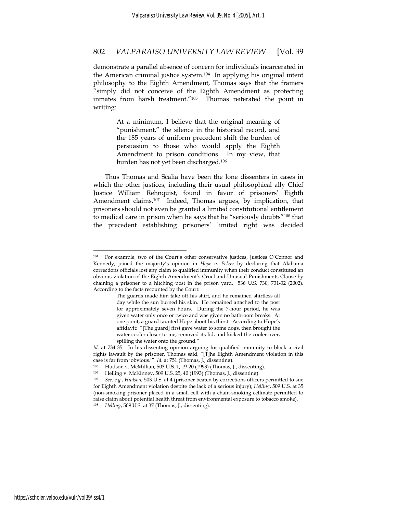demonstrate a parallel absence of concern for individuals incarcerated in the American criminal justice system.104 In applying his original intent philosophy to the Eighth Amendment, Thomas says that the framers "simply did not conceive of the Eighth Amendment as protecting inmates from harsh treatment."105 Thomas reiterated the point in writing:

> At a minimum, I believe that the original meaning of "punishment," the silence in the historical record, and the 185 years of uniform precedent shift the burden of persuasion to those who would apply the Eighth Amendment to prison conditions. In my view, that burden has not yet been discharged.106

Thus Thomas and Scalia have been the lone dissenters in cases in which the other justices, including their usual philosophical ally Chief Justice William Rehnquist, found in favor of prisoners' Eighth Amendment claims.107 Indeed, Thomas argues, by implication, that prisoners should not even be granted a limited constitutional entitlement to medical care in prison when he says that he "seriously doubts"108 that the precedent establishing prisoners' limited right was decided

For example, two of the Court's other conservative justices, Justices O'Connor and Kennedy, joined the majority's opinion in *Hope v. Pelzer* by declaring that Alabama corrections officials lost any claim to qualified immunity when their conduct constituted an obvious violation of the Eighth Amendment's Cruel and Unusual Punishments Clause by chaining a prisoner to a hitching post in the prison yard. 536 U.S. 730, 731-32 (2002). According to the facts recounted by the Court:

The guards made him take off his shirt, and he remained shirtless all day while the sun burned his skin. He remained attached to the post for approximately seven hours. During the 7-hour period, he was given water only once or twice and was given no bathroom breaks. At one point, a guard taunted Hope about his thirst. According to Hope's affidavit: "[The guard] first gave water to some dogs, then brought the water cooler closer to me, removed its lid, and kicked the cooler over, spilling the water onto the ground."

*Id.* at 734-35. In his dissenting opinion arguing for qualified immunity to block a civil rights lawsuit by the prisoner, Thomas said, "[T]he Eighth Amendment violation in this case is far from 'obvious.'" *Id.* at 751 (Thomas, J., dissenting).

Hudson v. McMillian, 503 U.S. 1, 19-20 (1993) (Thomas, J., dissenting).

<sup>106</sup> Helling v. McKinney, 509 U.S. 25, 40 (1993) (Thomas, J., dissenting).

<sup>107</sup> *See, e.g., Hudson*, 503 U.S. at 4 (prisoner beaten by corrections officers permitted to sue for Eighth Amendment violation despite the lack of a serious injury); *Helling*, 509 U.S. at 35 (non-smoking prisoner placed in a small cell with a chain-smoking cellmate permitted to raise claim about potential health threat from environmental exposure to tobacco smoke). 108 *Helling*, 509 U.S. at 37 (Thomas, J., dissenting).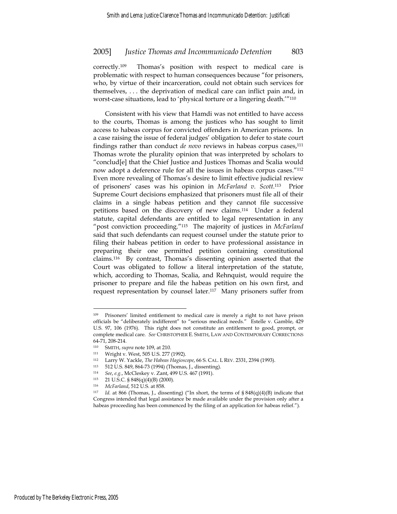correctly.109 Thomas's position with respect to medical care is problematic with respect to human consequences because "for prisoners, who, by virtue of their incarceration, could not obtain such services for themselves, . . . the deprivation of medical care can inflict pain and, in worst-case situations, lead to 'physical torture or a lingering death.'"<sup>110</sup>

Consistent with his view that Hamdi was not entitled to have access to the courts, Thomas is among the justices who has sought to limit access to habeas corpus for convicted offenders in American prisons. In a case raising the issue of federal judges' obligation to defer to state court findings rather than conduct *de novo* reviews in habeas corpus cases,<sup>111</sup> Thomas wrote the plurality opinion that was interpreted by scholars to "conclud[e] that the Chief Justice and Justices Thomas and Scalia would now adopt a deference rule for all the issues in habeas corpus cases."112 Even more revealing of Thomas's desire to limit effective judicial review of prisoners' cases was his opinion in *McFarland v. Scott*.113 Prior Supreme Court decisions emphasized that prisoners must file all of their claims in a single habeas petition and they cannot file successive petitions based on the discovery of new claims.114 Under a federal statute, capital defendants are entitled to legal representation in any "post conviction proceeding."115 The majority of justices in *McFarland* said that such defendants can request counsel under the statute prior to filing their habeas petition in order to have professional assistance in preparing their one permitted petition containing constitutional claims.116 By contrast, Thomas's dissenting opinion asserted that the Court was obligated to follow a literal interpretation of the statute, which, according to Thomas, Scalia, and Rehnquist, would require the prisoner to prepare and file the habeas petition on his own first, and request representation by counsel later.117 Many prisoners suffer from

<sup>&</sup>lt;sup>109</sup> Prisoners' limited entitlement to medical care is merely a right to not have prison officials be "deliberately indifferent" to "serious medical needs." Estelle v. Gamble, 429 U.S. 97, 106 (1976). This right does not constitute an entitlement to good, prompt, or complete medical care. *See* CHRISTOPHER E. SMITH, LAW AND CONTEMPORARY CORRECTIONS 64-71, 208-214.

<sup>110</sup> SMITH, *supra* note 109, at 210.<br>
<sup>111</sup> Wright v. West, 505 U.S. 277 (1992).<br>
<sup>112</sup> I arry W. Yackle *The Habeas Haginso* 

<sup>112</sup> Larry W. Yackle, *The Habeas Hagioscope*, 66 S. CAL. <sup>L</sup> REV. 2331, 2394 (1993). 113 512 U.S. 849, 864-73 (1994) (Thomas, J., dissenting).

<sup>114</sup> *See*, *e.g.*, McCleskey v. Zant, 499 U.S. 467 (1991).

<sup>115 21</sup> U.S.C. § 848(q)(4)(B) (2000).<br>116 McFarland 512 U.S. at 858

<sup>&</sup>lt;sup>116</sup> *McFarland*, 512 U.S. at 858.<br><sup>117</sup> *Id.* at 866 (Thomas, J., dissenting) ("In short, the terms of § 848(q)(4)(B) indicate that Congress intended that legal assistance be made available under the provision only after a habeas proceeding has been commenced by the filing of an application for habeas relief.").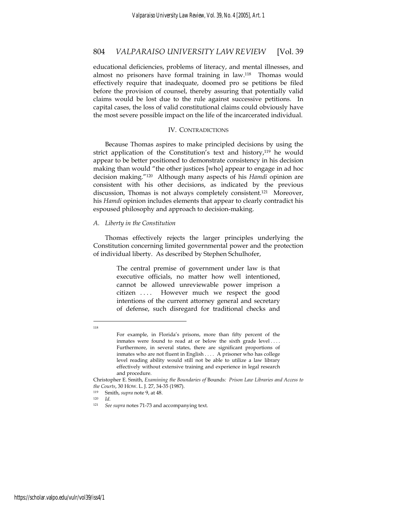educational deficiencies, problems of literacy, and mental illnesses, and almost no prisoners have formal training in law.118 Thomas would effectively require that inadequate, doomed pro se petitions be filed before the provision of counsel, thereby assuring that potentially valid claims would be lost due to the rule against successive petitions. In capital cases, the loss of valid constitutional claims could obviously have the most severe possible impact on the life of the incarcerated individual.

#### IV. CONTRADICTIONS

Because Thomas aspires to make principled decisions by using the strict application of the Constitution's text and history,<sup>119</sup> he would appear to be better positioned to demonstrate consistency in his decision making than would "the other justices [who] appear to engage in ad hoc decision making."120 Although many aspects of his *Hamdi* opinion are consistent with his other decisions, as indicated by the previous discussion, Thomas is not always completely consistent.121 Moreover, his *Hamdi* opinion includes elements that appear to clearly contradict his espoused philosophy and approach to decision-making.

#### *A. Liberty in the Constitution*

Thomas effectively rejects the larger principles underlying the Constitution concerning limited governmental power and the protection of individual liberty. As described by Stephen Schulhofer,

> The central premise of government under law is that executive officials, no matter how well intentioned, cannot be allowed unreviewable power imprison a citizen .... However much we respect the good intentions of the current attorney general and secretary of defense, such disregard for traditional checks and

 $\overline{a}$ 118

For example, in Florida's prisons, more than fifty percent of the inmates were found to read at or below the sixth grade level .... Furthermore, in several states, there are significant proportions of inmates who are not fluent in English . . . . A prisoner who has college level reading ability would still not be able to utilize a law library effectively without extensive training and experience in legal research and procedure.

Christopher E. Smith, *Examining the Boundaries of* Bounds*: Prison Law Libraries and Access to the Courts*, 30 HOW. L. J. 27, 34-35 (1987). 119 Smith, *supra* note 9, at 48.

<sup>120</sup> *Id*. 121 *See supra* notes 71-73 and accompanying text.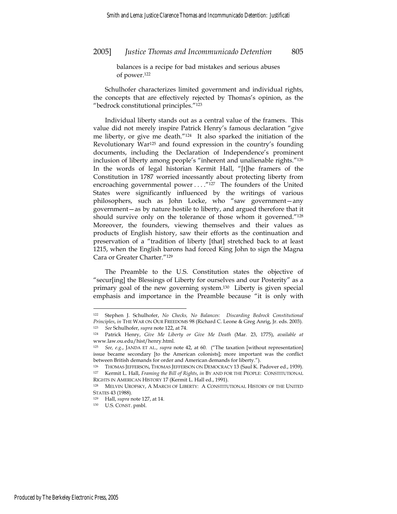balances is a recipe for bad mistakes and serious abuses of power.122

Schulhofer characterizes limited government and individual rights, the concepts that are effectively rejected by Thomas's opinion, as the "bedrock constitutional principles."123

Individual liberty stands out as a central value of the framers. This value did not merely inspire Patrick Henry's famous declaration "give me liberty, or give me death."124 It also sparked the initiation of the Revolutionary War125 and found expression in the country's founding documents, including the Declaration of Independence's prominent inclusion of liberty among people's "inherent and unalienable rights."126 In the words of legal historian Kermit Hall, "[t]he framers of the Constitution in 1787 worried incessantly about protecting liberty from encroaching governmental power . . . . "127 The founders of the United States were significantly influenced by the writings of various philosophers, such as John Locke, who "saw government—any government—as by nature hostile to liberty, and argued therefore that it should survive only on the tolerance of those whom it governed."<sup>128</sup> Moreover, the founders, viewing themselves and their values as products of English history, saw their efforts as the continuation and preservation of a "tradition of liberty [that] stretched back to at least 1215, when the English barons had forced King John to sign the Magna Cara or Greater Charter."129

The Preamble to the U.S. Constitution states the objective of "secur[ing] the Blessings of Liberty for ourselves and our Posterity" as a primary goal of the new governing system.130 Liberty is given special emphasis and importance in the Preamble because "it is only with

<sup>122</sup> Stephen J. Schulhofer, *No Checks, No Balances: Discarding Bedrock Constitutional Principles*, *in* THE WAR ON OUR FREEDOMS 98 (Richard C. Leone & Greg Anrig, Jr. eds. 2003). 123 *See* Schulhofer, *supra* note 122, at 74.

<sup>124</sup> Patrick Henry, *Give Me Liberty or Give Me Death* (Mar. 23, 1775), *available at* www.law.ou.edu/hist/henry.html.

<sup>125</sup> *See, e.g.*, JANDA ET AL.*, supra* note 42, at 60. ("The taxation [without representation] issue became secondary [to the American colonists]; more important was the conflict between British demands for order and American demands for liberty.").

<sup>&</sup>lt;sup>126</sup> THOMAS JEFFERSON, THOMAS JEFFERSON ON DEMOCRACY 13 (Saul K. Padover ed., 1939).<br><sup>127</sup> Kermit L. Hall, *Framing the Bill of Rights, in BY AND FOR THE PEOPLE: CONSTITUTIONAL* 127 Kermit L. Hall, *Framing the Bill of Rights*, *in* BY AND FOR THE PEOPLE: CONSTITUTIONAL

RIGHTS IN AMERICAN HISTORY 17 (Kermit L. Hall ed., 1991).<br><sup>128</sup> MELVIN UROFSKY, A MARCH OF LIBERTY: A CONSTITUTIONAL HISTORY OF THE UNITED STATES 43 (1988).

<sup>129</sup> Hall, *supra* note 127, at 14. 130 U.S. CONST. pmbl.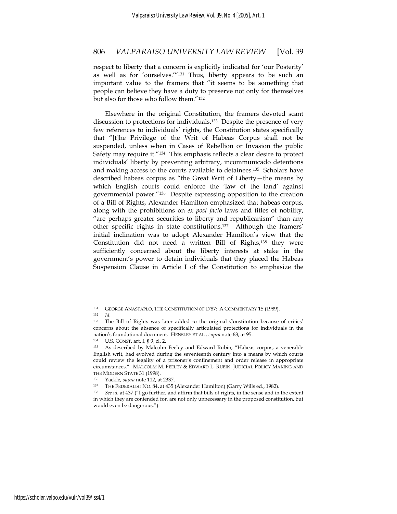respect to liberty that a concern is explicitly indicated for 'our Posterity' as well as for 'ourselves.'"131 Thus, liberty appears to be such an important value to the framers that "it seems to be something that people can believe they have a duty to preserve not only for themselves but also for those who follow them."132

Elsewhere in the original Constitution, the framers devoted scant discussion to protections for individuals.<sup>133</sup> Despite the presence of very few references to individuals' rights, the Constitution states specifically that "[t]he Privilege of the Writ of Habeas Corpus shall not be suspended, unless when in Cases of Rebellion or Invasion the public Safety may require it."134 This emphasis reflects a clear desire to protect individuals' liberty by preventing arbitrary, incommunicado detentions and making access to the courts available to detainees.135 Scholars have described habeas corpus as "the Great Writ of Liberty—the means by which English courts could enforce the 'law of the land' against governmental power."136 Despite expressing opposition to the creation of a Bill of Rights, Alexander Hamilton emphasized that habeas corpus, along with the prohibitions on *ex post facto* laws and titles of nobility, "are perhaps greater securities to liberty and republicanism" than any other specific rights in state constitutions.137 Although the framers' initial inclination was to adopt Alexander Hamilton's view that the Constitution did not need a written Bill of Rights,138 they were sufficiently concerned about the liberty interests at stake in the government's power to detain individuals that they placed the Habeas Suspension Clause in Article I of the Constitution to emphasize the

<sup>131</sup> GEORGE ANASTAPLO, THE CONSTITUTION OF 1787: A COMMENTARY 15 (1989).

<sup>132</sup> *Id*.<br><sup>133</sup> The Bill of Rights was later added to the original Constitution because of critics' concerns about the absence of specifically articulated protections for individuals in the nation's foundational document. HENSLEY ET AL.*, supra* note 68, at 95. 134 U.S. CONST. art. I, § 9, cl. 2.

<sup>135</sup> As described by Malcolm Feeley and Edward Rubin, "Habeas corpus, a venerable English writ, had evolved during the seventeenth century into a means by which courts could review the legality of a prisoner's confinement and order release in appropriate circumstances." MALCOLM M. FEELEY & EDWARD L. RUBIN, JUDICIAL POLICY MAKING AND THE MODERN STATE 31 (1998).

<sup>&</sup>lt;sup>136</sup> Yackle, *supra* note 112, at 2337.<br><sup>137</sup> THE FEDERALIST NO. 84, at 435 (Alexander Hamilton) (Garry Wills ed., 1982).<br><sup>138</sup> See id. at 437 ("I go further, and affirm that bills of rights, in the sense and in the exten

in which they are contended for, are not only unnecessary in the proposed constitution, but would even be dangerous.").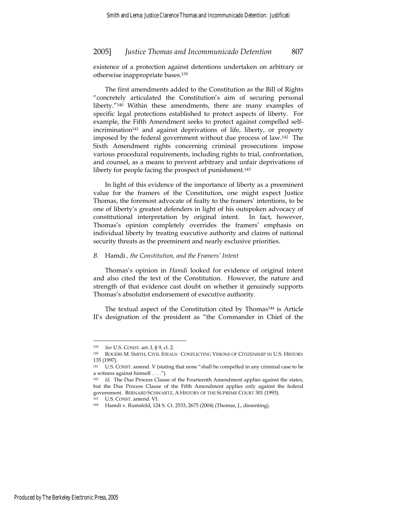existence of a protection against detentions undertaken on arbitrary or otherwise inappropriate bases.139

The first amendments added to the Constitution as the Bill of Rights "concretely articulated the Constitution's aim of securing personal liberty."140 Within these amendments, there are many examples of specific legal protections established to protect aspects of liberty. For example, the Fifth Amendment seeks to protect against compelled selfincrimination141 and against deprivations of life, liberty, or property imposed by the federal government without due process of law.142 The Sixth Amendment rights concerning criminal prosecutions impose various procedural requirements, including rights to trial, confrontation, and counsel, as a means to prevent arbitrary and unfair deprivations of liberty for people facing the prospect of punishment.<sup>143</sup>

In light of this evidence of the importance of liberty as a preeminent value for the framers of the Constitution, one might expect Justice Thomas, the foremost advocate of fealty to the framers' intentions, to be one of liberty's greatest defenders in light of his outspoken advocacy of constitutional interpretation by original intent. In fact, however, Thomas's opinion completely overrides the framers' emphasis on individual liberty by treating executive authority and claims of national security threats as the preeminent and nearly exclusive priorities.

#### *B.* Hamdi *, the Constitution, and the Framers' Intent*

Thomas's opinion in *Hamdi* looked for evidence of original intent and also cited the text of the Constitution. However, the nature and strength of that evidence cast doubt on whether it genuinely supports Thomas's absolutist endorsement of executive authority.

The textual aspect of the Constitution cited by Thomas<sup>144</sup> is Article II's designation of the president as "the Commander in Chief of the

<sup>&</sup>lt;sup>139</sup> *See* U.S. CONST. art. I, § 9, cl. 2.<br><sup>140</sup> ROGERS M. SMITH, CIVIL IDEALS: CONFLICTING VISIONS OF CITIZENSHIP IN U.S. HISTORY 135 (1997).

<sup>141</sup> U.S. CONST. amend. V (stating that none "shall be compelled in any criminal case to be a witness against himself . . . .").

<sup>&</sup>lt;sup>142</sup> *Id.* The Due Process Clause of the Fourteenth Amendment applies against the states, but the Due Process Clause of the Fifth Amendment applies only against the federal government. BERNARD SCHWARTZ, A HISTORY OF THE SUPREME COURT 301 (1993).

<sup>143</sup> U.S. CONST. amend. VI. 144 Hamdi v. Rumsfeld, 124 S. Ct. 2533, 2675 (2004) (Thomas, J., dissenting).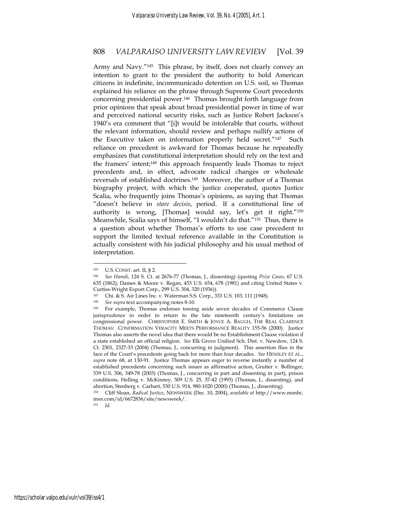Army and Navy."145 This phrase, by itself, does not clearly convey an intention to grant to the president the authority to hold American citizens in indefinite, incommunicado detention on U.S. soil, so Thomas explained his reliance on the phrase through Supreme Court precedents concerning presidential power.146 Thomas brought forth language from prior opinions that speak about broad presidential power in time of war and perceived national security risks, such as Justice Robert Jackson's 1940's era comment that "[i]t would be intolerable that courts, without the relevant information, should review and perhaps nullify actions of the Executive taken on information properly held secret."147 Such reliance on precedent is awkward for Thomas because he repeatedly emphasizes that constitutional interpretation should rely on the text and the framers' intent;148 this approach frequently leads Thomas to reject precedents and, in effect, advocate radical changes or wholesale reversals of established doctrines.149 Moreover, the author of a Thomas biography project, with which the justice cooperated, quotes Justice Scalia, who frequently joins Thomas's opinions, as saying that Thomas "doesn't believe in *stare decisis*, period. If a constitutional line of authority is wrong, [Thomas] would say, let's get it right."150 Meanwhile, Scalia says of himself, "I wouldn't do that."151 Thus, there is a question about whether Thomas's efforts to use case precedent to support the limited textual reference available in the Constitution is actually consistent with his judicial philosophy and his usual method of interpretation.

 $\overline{a}$ 

<sup>151</sup> *Id*.

<sup>145</sup> U.S. CONST. art. II, § 2. 146 *See Hamdi*, 124 S. Ct. at 2676-77 (Thomas, J., dissenting) (quoting *Prize Cases*, 67 U.S. 635 (1862); Dames & Moore v. Regan, 453 U.S. 654, 678 (1981) and citing United States v. Curtiss-Wright Export Corp., 299 U.S. 304, 320 (1936)).

<sup>147</sup> Chi. & S. Air Lines Inc. v. Waterman S.S. Corp., 333 U.S. 103, 111 (1948).

<sup>148</sup> *See supra* text accompanying notes 8-10.

<sup>149</sup> For example, Thomas endorses tossing aside seven decades of Commerce Clause jurisprudence in order to return to the late nineteenth century's limitations on congressional power. CHRISTOPHER E. SMITH & JOYCE A. BAUGH, THE REAL CLARENCE THOMAS: CONFIRMATION VERACITY MEETS PERFORMANCE REALITY 155-56 (2000). Justice Thomas also asserts the novel idea that there would be no Establishment Clause violation if a state established an official religion. *See* Elk Grove Unified Sch. Dist. v. Newdow, 124 S. Ct. 2301, 2327-33 (2004) (Thomas, J., concurring in judgment). This assertion flies in the face of the Court's precedents going back for more than four decades. *See* HENSLEY ET AL., *supra* note 68, at 130-91. Justice Thomas appears eager to reverse instantly a number of established precedents concerning such issues as affirmative action, Grutter v. Bollinger, 539 U.S. 306, 349-78 (2003) (Thomas, J., concurring in part and dissenting in part), prison conditions, Helling v. McKinney, 509 U.S. 25, 37-42 (1993) (Thomas, J., dissenting), and abortion, Stenberg v. Carhart, 530 U.S. 914, 980-1020 (2000) (Thomas, J., dissenting).

<sup>150</sup> Cliff Sloan, *Radical Justice*, NEWSWEEK (Dec. 10, 2004), *available at* http://www.msnbc. msn.com/id/6672836/site/newsweek/.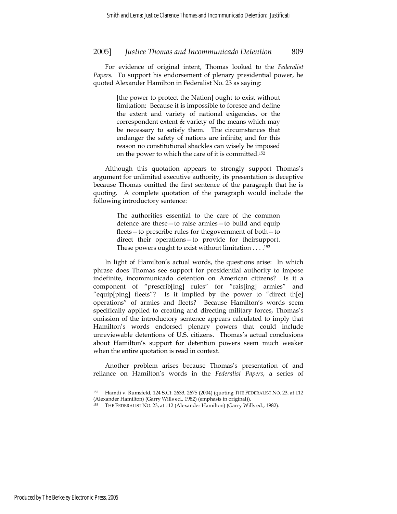For evidence of original intent, Thomas looked to the *Federalist Papers.* To support his endorsement of plenary presidential power, he quoted Alexander Hamilton in Federalist No. 23 as saying:

> [the power to protect the Nation] ought to exist without limitation: Because it is impossible to foresee and define the extent and variety of national exigencies, or the correspondent extent & variety of the means which may be necessary to satisfy them. The circumstances that endanger the safety of nations are infinite; and for this reason no constitutional shackles can wisely be imposed on the power to which the care of it is committed.152

Although this quotation appears to strongly support Thomas's argument for unlimited executive authority, its presentation is deceptive because Thomas omitted the first sentence of the paragraph that he is quoting. A complete quotation of the paragraph would include the following introductory sentence:

> The authorities essential to the care of the common defence are these—to raise armies—to build and equip fleets—to prescribe rules for thegovernment of both—to direct their operations—to provide for theirsupport. These powers ought to exist without limitation . . . .153

In light of Hamilton's actual words, the questions arise: In which phrase does Thomas see support for presidential authority to impose indefinite, incommunicado detention on American citizens? Is it a component of "prescrib[ing] rules" for "rais[ing] armies" and "equip[ping] fleets"? Is it implied by the power to "direct th[e] operations" of armies and fleets? Because Hamilton's words seem specifically applied to creating and directing military forces, Thomas's omission of the introductory sentence appears calculated to imply that Hamilton's words endorsed plenary powers that could include unreviewable detentions of U.S. citizens. Thomas's actual conclusions about Hamilton's support for detention powers seem much weaker when the entire quotation is read in context.

Another problem arises because Thomas's presentation of and reliance on Hamilton's words in the *Federalist Papers*, a series of

<sup>152</sup> Hamdi v. Rumsfeld, 124 S.Ct. 2633, 2675 (2004) (quoting THE FEDERALIST NO. 23, at 112 (Alexander Hamilton) (Garry Wills ed., 1982) (emphasis in original)).

THE FEDERALIST NO. 23, at 112 (Alexander Hamilton) (Garry Wills ed., 1982).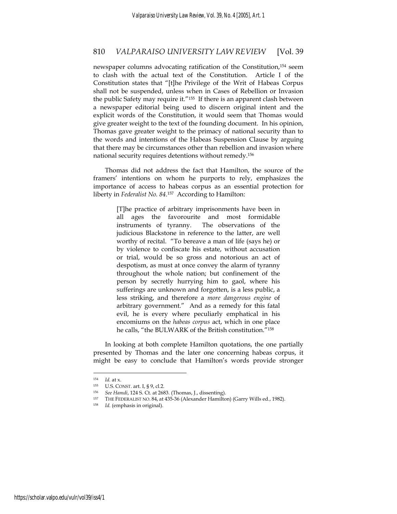newspaper columns advocating ratification of the Constitution,<sup>154</sup> seem to clash with the actual text of the Constitution. Article I of the Constitution states that "[t]he Privilege of the Writ of Habeas Corpus shall not be suspended, unless when in Cases of Rebellion or Invasion the public Safety may require it."<sup>155</sup> If there is an apparent clash between a newspaper editorial being used to discern original intent and the explicit words of the Constitution, it would seem that Thomas would give greater weight to the text of the founding document. In his opinion, Thomas gave greater weight to the primacy of national security than to the words and intentions of the Habeas Suspension Clause by arguing that there may be circumstances other than rebellion and invasion where national security requires detentions without remedy.156

Thomas did not address the fact that Hamilton, the source of the framers' intentions on whom he purports to rely, emphasizes the importance of access to habeas corpus as an essential protection for liberty in *Federalist No. 84*.157 According to Hamilton:

> [T]he practice of arbitrary imprisonments have been in all ages the favorourite and most formidable instruments of tyranny. The observations of the judicious Blackstone in reference to the latter, are well worthy of recital. "To bereave a man of life (says he) or by violence to confiscate his estate, without accusation or trial, would be so gross and notorious an act of despotism, as must at once convey the alarm of tyranny throughout the whole nation; but confinement of the person by secretly hurrying him to gaol, where his sufferings are unknown and forgotten, is a less public, a less striking, and therefore a *more dangerous engine* of arbitrary government." And as a remedy for this fatal evil, he is every where peculiarly emphatical in his encomiums on the *habeas corpus* act, which in one place he calls, "the BULWARK of the British constitution."158

In looking at both complete Hamilton quotations, the one partially presented by Thomas and the later one concerning habeas corpus, it might be easy to conclude that Hamilton's words provide stronger

<sup>154</sup> *Id.* at x. 155 U.S. CONST. art. I, § 9, cl.2. 156 *See Hamdi*, 124 S. Ct. at 2683. (Thomas, J., dissenting).

<sup>157</sup> THE FEDERALIST NO. 84, at 435-36 (Alexander Hamilton) (Garry Wills ed., 1982). 158 *Id.* (emphasis in original).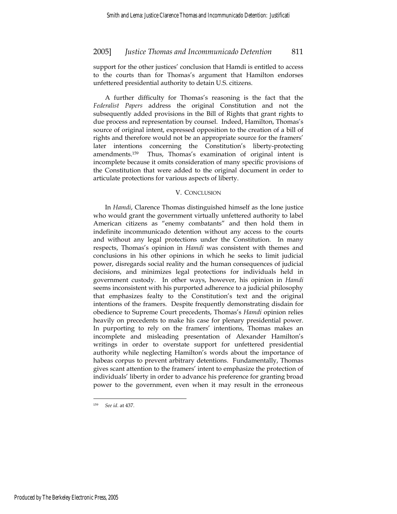support for the other justices' conclusion that Hamdi is entitled to access to the courts than for Thomas's argument that Hamilton endorses unfettered presidential authority to detain U.S. citizens.

A further difficulty for Thomas's reasoning is the fact that the *Federalist Papers* address the original Constitution and not the subsequently added provisions in the Bill of Rights that grant rights to due process and representation by counsel. Indeed, Hamilton, Thomas's source of original intent, expressed opposition to the creation of a bill of rights and therefore would not be an appropriate source for the framers' later intentions concerning the Constitution's liberty-protecting amendments.159 Thus, Thomas's examination of original intent is incomplete because it omits consideration of many specific provisions of the Constitution that were added to the original document in order to articulate protections for various aspects of liberty.

#### V. CONCLUSION

In *Hamdi*, Clarence Thomas distinguished himself as the lone justice who would grant the government virtually unfettered authority to label American citizens as "enemy combatants" and then hold them in indefinite incommunicado detention without any access to the courts and without any legal protections under the Constitution. In many respects, Thomas's opinion in *Hamdi* was consistent with themes and conclusions in his other opinions in which he seeks to limit judicial power, disregards social reality and the human consequences of judicial decisions, and minimizes legal protections for individuals held in government custody. In other ways, however, his opinion in *Hamdi* seems inconsistent with his purported adherence to a judicial philosophy that emphasizes fealty to the Constitution's text and the original intentions of the framers. Despite frequently demonstrating disdain for obedience to Supreme Court precedents, Thomas's *Hamdi* opinion relies heavily on precedents to make his case for plenary presidential power. In purporting to rely on the framers' intentions, Thomas makes an incomplete and misleading presentation of Alexander Hamilton's writings in order to overstate support for unfettered presidential authority while neglecting Hamilton's words about the importance of habeas corpus to prevent arbitrary detentions. Fundamentally, Thomas gives scant attention to the framers' intent to emphasize the protection of individuals' liberty in order to advance his preference for granting broad power to the government, even when it may result in the erroneous

<sup>159</sup> *See id*. at 437.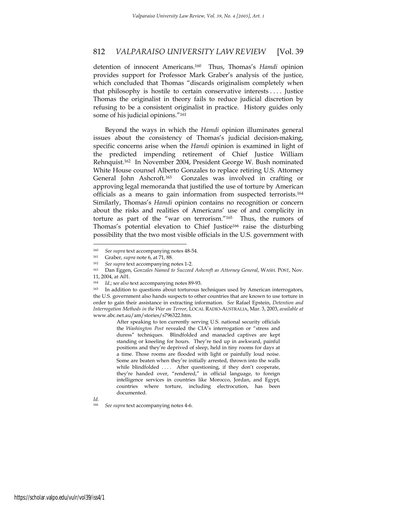detention of innocent Americans.160 Thus, Thomas's *Hamdi* opinion provides support for Professor Mark Graber's analysis of the justice, which concluded that Thomas "discards originalism completely when that philosophy is hostile to certain conservative interests . . . . Justice Thomas the originalist in theory fails to reduce judicial discretion by refusing to be a consistent originalist in practice. History guides only some of his judicial opinions."161

Beyond the ways in which the *Hamdi* opinion illuminates general issues about the consistency of Thomas's judicial decision-making, specific concerns arise when the *Hamdi* opinion is examined in light of the predicted impending retirement of Chief Justice William Rehnquist.162 In November 2004, President George W. Bush nominated White House counsel Alberto Gonzales to replace retiring U.S. Attorney General John Ashcroft.163 Gonzales was involved in crafting or approving legal memoranda that justified the use of torture by American officials as a means to gain information from suspected terrorists.164 Similarly, Thomas's *Hamdi* opinion contains no recognition or concern about the risks and realities of Americans' use of and complicity in torture as part of the "war on terrorism."165 Thus, the rumors of Thomas's potential elevation to Chief Justice166 raise the disturbing possibility that the two most visible officials in the U.S. government with

After speaking to ten currently serving U.S. national security officials the *Washington Post* revealed the CIA's interrogation or "stress and duress" techniques. Blindfolded and manacled captives are kept standing or kneeling for hours. They're tied up in awkward, painful positions and they're deprived of sleep, held in tiny rooms for days at a time. Those rooms are flooded with light or painfully loud noise. Some are beaten when they're initially arrested, thrown into the walls while blindfolded .... After questioning, if they don't cooperate, they're handed over, "rendered," in official language, to foreign intelligence services in countries like Morocco, Jordan, and Egypt, countries where torture, including electrocution, has been documented.

*Id.* 

<sup>160</sup> *See supra* text accompanying notes 48-54. 161 Graber, *supra* note 6, at 71, 88.

<sup>162</sup> *See supra* text accompanying notes 1-2.

<sup>163</sup> Dan Eggen, *Gonzales Named to Succeed Ashcroft as Attorney General*, WASH. POST, Nov. 11, 2004, at A01.

<sup>164</sup> *Id*.; s*ee also* text accompanying notes 89-93.

<sup>165</sup> In addition to questions about torturous techniques used by American interrogators, the U.S. government also hands suspects to other countries that are known to use torture in order to gain their assistance in extracting information. *See* Rafael Epstein, *Detention and Interrogation Methods in the War on Terror*, LOCAL RADIO-AUSTRALIA, Mar. 3, 2003, *available at* www.abc.net.au/am/stories/s796322.htm.

<sup>166</sup> *See supra* text accompanying notes 4-6.